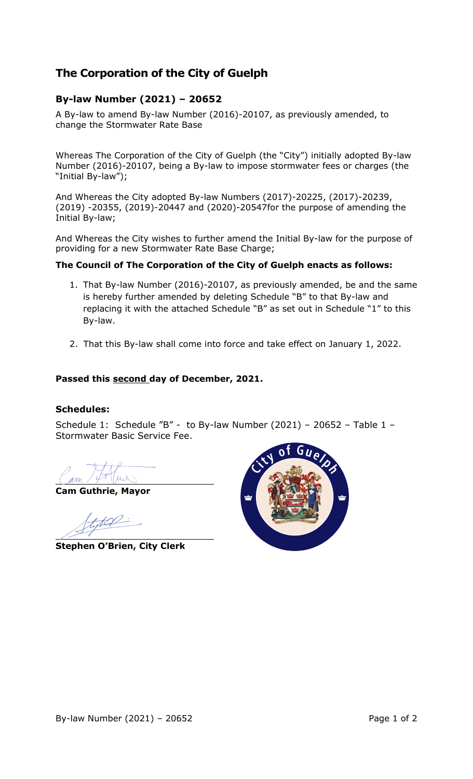# **The Corporation of the City of Guelph**

## **By-law Number (2021) – 20652**

A By-law to amend By-law Number (2016)-20107, as previously amended, to change the Stormwater Rate Base

Whereas The Corporation of the City of Guelph (the "City") initially adopted By-law Number (2016)-20107, being a By-law to impose stormwater fees or charges (the "Initial By-law");

And Whereas the City adopted By-law Numbers (2017)-20225, (2017)-20239, (2019) -20355, (2019)-20447 and (2020)-20547for the purpose of amending the Initial By-law;

And Whereas the City wishes to further amend the Initial By-law for the purpose of providing for a new Stormwater Rate Base Charge;

### **The Council of The Corporation of the City of Guelph enacts as follows:**

- 1. That By-law Number (2016)-20107, as previously amended, be and the same is hereby further amended by deleting Schedule "B" to that By-law and replacing it with the attached Schedule "B" as set out in Schedule "1" to this By-law.
- 2. That this By-law shall come into force and take effect on January 1, 2022.

### **Passed this second day of December, 2021.**

#### **Schedules:**

Schedule 1: Schedule "B" - to By-law Number (2021) – 20652 – Table 1 – Stormwater Basic Service Fee.

**Cam Guthrie, Mayor**

**Stephen O'Brien, City Clerk**